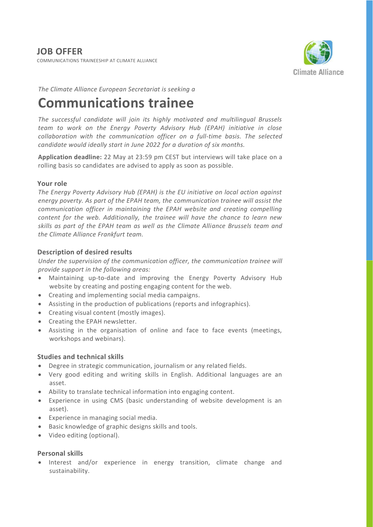COMMUNICATIONS TRAINEESHIP AT CLIMATE ALLIANCE



*The Climate Alliance European Secretariat is seeking a*

# **Communications trainee**

*The successful candidate will join its highly motivated and multilingual Brussels team to work on the Energy Poverty Advisory Hub (EPAH) initiative in close collaboration with the communication officer on a full-time basis. The selected candidate would ideally start in June 2022 for a duration of six months.*

**Application deadline:** 22 May at 23:59 pm CEST but interviews will take place on a rolling basis so candidates are advised to apply as soon as possible.

## **Your role**

*The Energy Poverty Advisory Hub (EPAH) is the EU initiative on local action against energy poverty. As part of the EPAH team, the communication trainee will assist the communication officer in maintaining the EPAH website and creating compelling content for the web. Additionally, the trainee will have the chance to learn new skills as part of the EPAH team as well as the Climate Alliance Brussels team and the Climate Alliance Frankfurt team.*

## **Description of desired results**

*Under the supervision of the communication officer, the communication trainee will provide support in the following areas:*

- Maintaining up-to-date and improving the Energy Poverty Advisory Hub website by creating and posting engaging content for the web.
- Creating and implementing social media campaigns.
- Assisting in the production of publications (reports and infographics).
- Creating visual content (mostly images).
- Creating the EPAH newsletter.
- Assisting in the organisation of online and face to face events (meetings, workshops and webinars).

## **Studies and technical skills**

- Degree in strategic communication, journalism or any related fields.
- Very good editing and writing skills in English. Additional languages are an asset.
- Ability to translate technical information into engaging content.
- Experience in using CMS (basic understanding of website development is an asset).
- Experience in managing social media.
- Basic knowledge of graphic designs skills and tools.
- Video editing (optional).

### **Personal skills**

• Interest and/or experience in energy transition, climate change and sustainability.